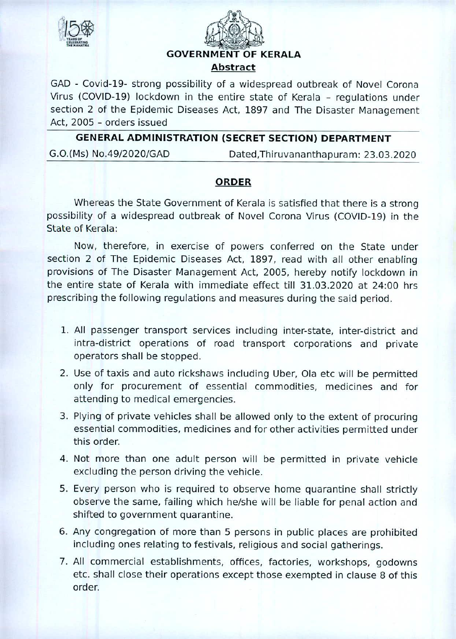



GAD — Covid-19- strong possibility of a widespread outbreak of Novel Corona Virus (COVID-19) lockdown in the entire state of Kerala - regulations under section 2 of the Epidemic Diseases Act, 1897 and The Disaster Management Act, 2005 — orders issued

## **GENERAL ADMINISTRATION (SECRET SECTION) DEPARTMENT**

G.O.(Ms) No.49/2020/GAD Dated, Thiruvananthapuram: 23.03.2020

## **ORDER**

Whereas the State Government of Kerala is satisfied that there is a strong possibility of a widespread outbreak of Novel Corona Virus (COVID-19) in the State of Kerala:

Now, therefore, in exercise of powers conferred on the State under section 2 of The Epidemic Diseases Act, 1897, read with all other enabling provisions of The Disaster Management Act, 2005, hereby notify lockdown in the entire state of Kerala with immediate effect till 31.03.2020 at 24:00 hrs prescribing the following regulations and measures during the said period.

- All passenger transport services including inter-state, inter-district and intra-district operations of road transport corporations and private operators shall be stopped.
- Use of taxis and auto rickshaws including Uber, Ola etc will be permitted only for procurement of essential commodities, medicines and for attending to medical emergencies.
- 3. Plying of private vehicles shall be allowed only to the extent of procuring essential commodities, medicines and for other activities permitted under this order.
- 4. Not more than one adult person will be permitted in private vehicle excluding the person driving the vehicle.
- Every person who is required to observe home quarantine shall strictly observe the same, failing which he/she will be liable for penal action and shifted to government quarantine.
- Any congregation of more than 5 persons in public places are prohibited including ones relating to festivals, religious and social gatherings.
- All commercial establishments, offices, factories, workshops, godowns etc. shall close their operations except those exempted in clause 8 of this order.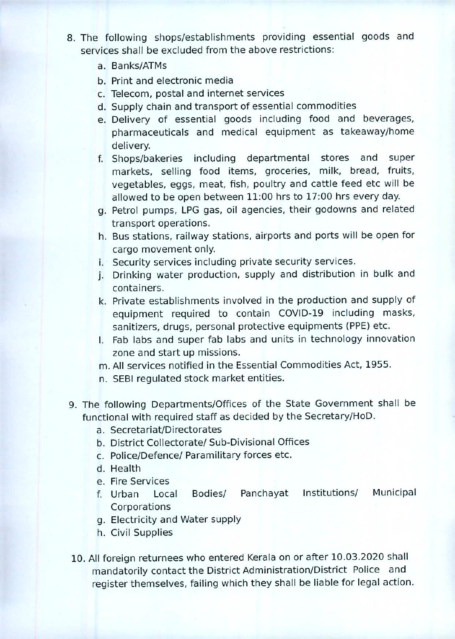- 8. The following shops/establishments providing essential goods and services shall be excluded from the above restrictions:
	- a. Banks/ATMs
	- b. Print and electronic media
	- Telecom, postal and internet services
	- d. Supply chain and transport of essential commodities
	- Delivery of essential goods including food and beverages, pharmaceuticals and medical equipment as takeaway/home delivery.
	- f. Shops/bakeries including departmental stores and super markets, selling food items, groceries, milk, bread, fruits, vegetables, eggs, meat, fish, poultry and cattle feed etc will be allowed to be open between 11:00 hrs to 17:00 hrs every day.
	- g. Petrol pumps, LPG gas, oil agencies, their godowns and related transport operations.
	- h. Bus stations, railway stations, airports and ports will be open for cargo movement only.
	- i. Security services including private security services.
	- Drinking water production, supply and distribution in bulk and containers.
	- k. Private establishments involved in the production and supply of equipment required to contain COVID-19 including masks, sanitizers, drugs, personal protective equipments (PPE) etc.
	- I. Fab labs and super fab labs and units in technology innovation zone and start up missions.
	- All services notified in the Essential Commodities Act, 1955.
	- n. SEBI regulated stock market entities.
- 9. The following Departments/Offices of the State Government shall be functional with required staff as decided by the Secretary/HoD.
	- a. Secretariat/Directorates
	- b. District Collectorate/ Sub-Divisional Offices
	- c. Police/Defence/ Paramilitary forces etc.
	- d. Health
	- e. Fire Services
	- f. Urban Local Bodies/ Panchayat Institutions/ Municipal Corporations
	- Electricity and Water supply
	- h. Civil Supplies
- 10. All foreign returnees who entered Kerala on or after 10.03.2020 shall mandatorily contact the District Administration/District Police and register themselves, failing which they shall be liable for legal action.